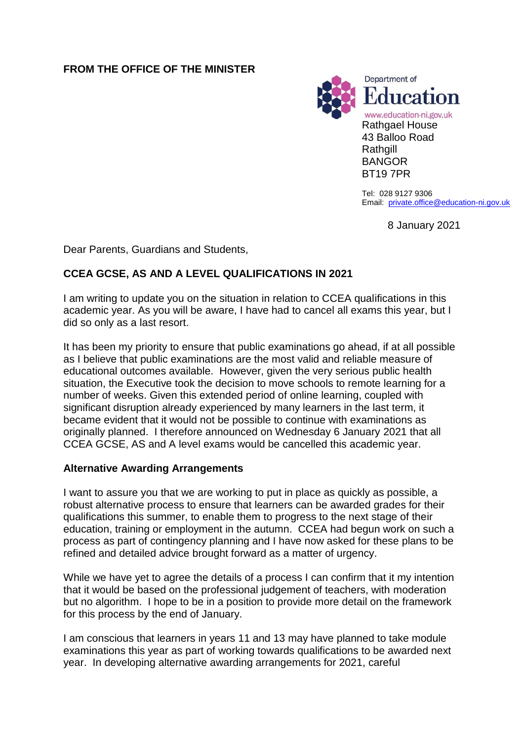## **FROM THE OFFICE OF THE MINISTER**



Tel: 028 9127 9306 Email: [private.office@education-ni.gov.uk](mailto:private.office@education-ni.gov.uk)

8 January 2021

Dear Parents, Guardians and Students,

# **CCEA GCSE, AS AND A LEVEL QUALIFICATIONS IN 2021**

I am writing to update you on the situation in relation to CCEA qualifications in this academic year. As you will be aware, I have had to cancel all exams this year, but I did so only as a last resort.

It has been my priority to ensure that public examinations go ahead, if at all possible as I believe that public examinations are the most valid and reliable measure of educational outcomes available. However, given the very serious public health situation, the Executive took the decision to move schools to remote learning for a number of weeks. Given this extended period of online learning, coupled with significant disruption already experienced by many learners in the last term, it became evident that it would not be possible to continue with examinations as originally planned. I therefore announced on Wednesday 6 January 2021 that all CCEA GCSE, AS and A level exams would be cancelled this academic year.

#### **Alternative Awarding Arrangements**

I want to assure you that we are working to put in place as quickly as possible, a robust alternative process to ensure that learners can be awarded grades for their qualifications this summer, to enable them to progress to the next stage of their education, training or employment in the autumn. CCEA had begun work on such a process as part of contingency planning and I have now asked for these plans to be refined and detailed advice brought forward as a matter of urgency.

While we have yet to agree the details of a process I can confirm that it my intention that it would be based on the professional judgement of teachers, with moderation but no algorithm. I hope to be in a position to provide more detail on the framework for this process by the end of January.

I am conscious that learners in years 11 and 13 may have planned to take module examinations this year as part of working towards qualifications to be awarded next year. In developing alternative awarding arrangements for 2021, careful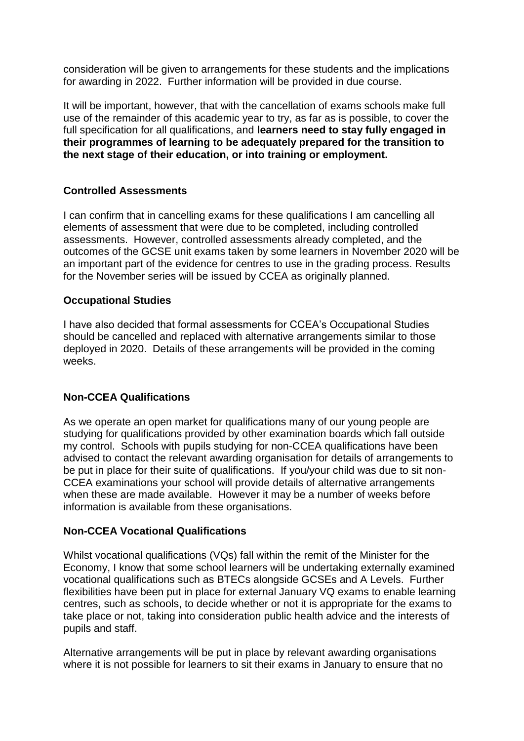consideration will be given to arrangements for these students and the implications for awarding in 2022. Further information will be provided in due course.

It will be important, however, that with the cancellation of exams schools make full use of the remainder of this academic year to try, as far as is possible, to cover the full specification for all qualifications, and **learners need to stay fully engaged in their programmes of learning to be adequately prepared for the transition to the next stage of their education, or into training or employment.** 

## **Controlled Assessments**

I can confirm that in cancelling exams for these qualifications I am cancelling all elements of assessment that were due to be completed, including controlled assessments. However, controlled assessments already completed, and the outcomes of the GCSE unit exams taken by some learners in November 2020 will be an important part of the evidence for centres to use in the grading process. Results for the November series will be issued by CCEA as originally planned.

#### **Occupational Studies**

I have also decided that formal assessments for CCEA's Occupational Studies should be cancelled and replaced with alternative arrangements similar to those deployed in 2020. Details of these arrangements will be provided in the coming weeks.

# **Non-CCEA Qualifications**

As we operate an open market for qualifications many of our young people are studying for qualifications provided by other examination boards which fall outside my control. Schools with pupils studying for non-CCEA qualifications have been advised to contact the relevant awarding organisation for details of arrangements to be put in place for their suite of qualifications. If you/your child was due to sit non-CCEA examinations your school will provide details of alternative arrangements when these are made available. However it may be a number of weeks before information is available from these organisations.

#### **Non-CCEA Vocational Qualifications**

Whilst vocational qualifications (VQs) fall within the remit of the Minister for the Economy, I know that some school learners will be undertaking externally examined vocational qualifications such as BTECs alongside GCSEs and A Levels. Further flexibilities have been put in place for external January VQ exams to enable learning centres, such as schools, to decide whether or not it is appropriate for the exams to take place or not, taking into consideration public health advice and the interests of pupils and staff.

Alternative arrangements will be put in place by relevant awarding organisations where it is not possible for learners to sit their exams in January to ensure that no